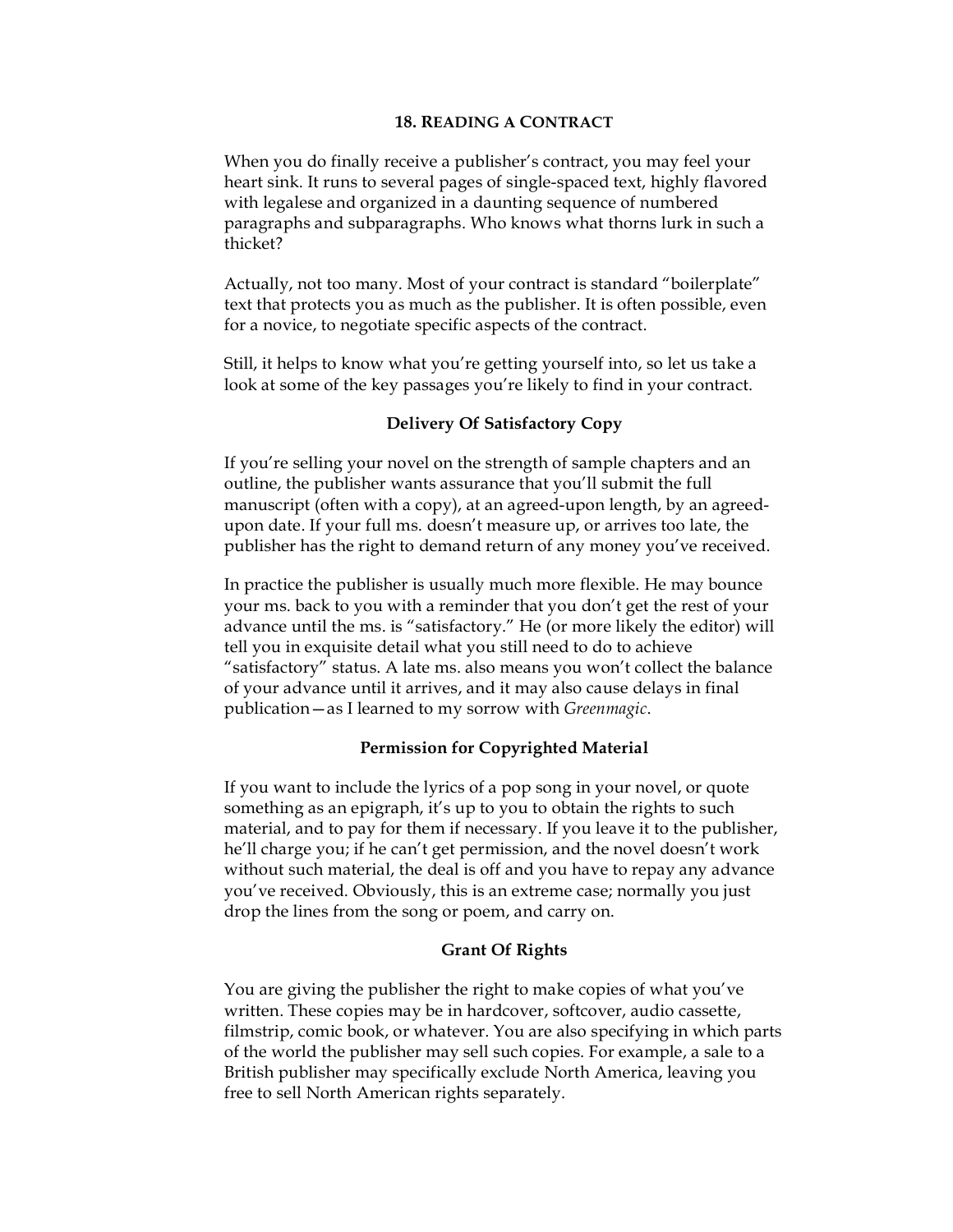#### **18. READING A CONTRACT**

When you do finally receive a publisher's contract, you may feel your heart sink. It runs to several pages of single-spaced text, highly flavored with legalese and organized in a daunting sequence of numbered paragraphs and subparagraphs. Who knows what thorns lurk in such a thicket?

Actually, not too many. Most of your contract is standard "boilerplate" text that protects you as much as the publisher. It is often possible, even for a novice, to negotiate specific aspects of the contract.

Still, it helps to know what you're getting yourself into, so let us take a look at some of the key passages you're likely to find in your contract.

## **Delivery Of Satisfactory Copy**

If you're selling your novel on the strength of sample chapters and an outline, the publisher wants assurance that you'll submit the full manuscript (often with a copy), at an agreed-upon length, by an agreedupon date. If your full ms. doesn't measure up, or arrives too late, the publisher has the right to demand return of any money you've received.

In practice the publisher is usually much more flexible. He may bounce your ms. back to you with a reminder that you don't get the rest of your advance until the ms. is "satisfactory." He (or more likely the editor) will tell you in exquisite detail what you still need to do to achieve "satisfactory" status. A late ms. also means you won't collect the balance of your advance until it arrives, and it may also cause delays in final publication—as I learned to my sorrow with *Greenmagic*.

#### **Permission for Copyrighted Material**

If you want to include the lyrics of a pop song in your novel, or quote something as an epigraph, it's up to you to obtain the rights to such material, and to pay for them if necessary. If you leave it to the publisher, he'll charge you; if he can't get permission, and the novel doesn't work without such material, the deal is off and you have to repay any advance you've received. Obviously, this is an extreme case; normally you just drop the lines from the song or poem, and carry on.

#### **Grant Of Rights**

You are giving the publisher the right to make copies of what you've written. These copies may be in hardcover, softcover, audio cassette, filmstrip, comic book, or whatever. You are also specifying in which parts of the world the publisher may sell such copies. For example, a sale to a British publisher may specifically exclude North America, leaving you free to sell North American rights separately.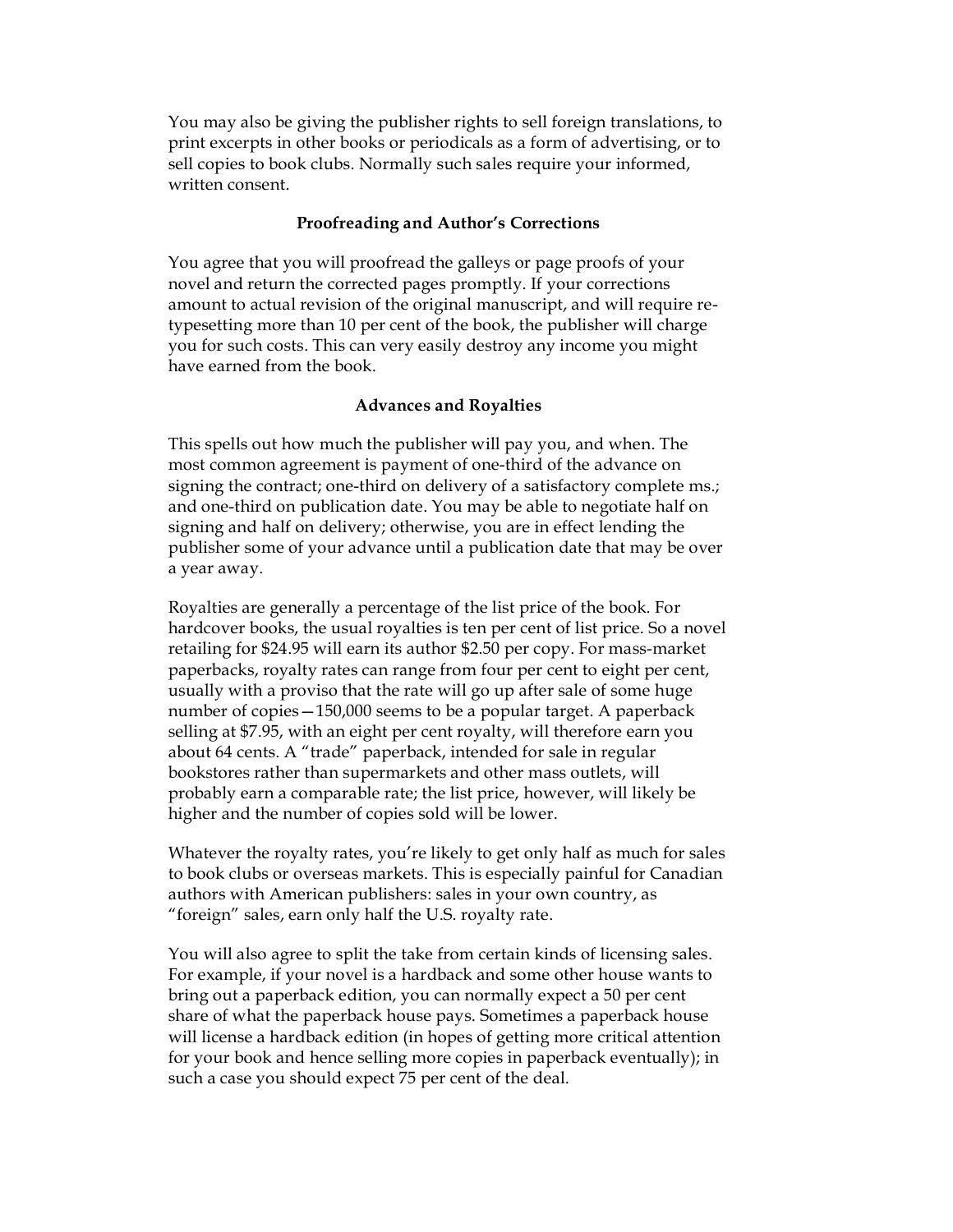You may also be giving the publisher rights to sell foreign translations, to print excerpts in other books or periodicals as a form of advertising, or to sell copies to book clubs. Normally such sales require your informed, written consent.

## **Proofreading and Author's Corrections**

You agree that you will proofread the galleys or page proofs of your novel and return the corrected pages promptly. If your corrections amount to actual revision of the original manuscript, and will require retypesetting more than 10 per cent of the book, the publisher will charge you for such costs. This can very easily destroy any income you might have earned from the book.

## **Advances and Royalties**

This spells out how much the publisher will pay you, and when. The most common agreement is payment of one-third of the advance on signing the contract; one-third on delivery of a satisfactory complete ms.; and one-third on publication date. You may be able to negotiate half on signing and half on delivery; otherwise, you are in effect lending the publisher some of your advance until a publication date that may be over a year away.

Royalties are generally a percentage of the list price of the book. For hardcover books, the usual royalties is ten per cent of list price. So a novel retailing for \$24.95 will earn its author \$2.50 per copy. For mass-market paperbacks, royalty rates can range from four per cent to eight per cent, usually with a proviso that the rate will go up after sale of some huge number of copies—150,000 seems to be a popular target. A paperback selling at \$7.95, with an eight per cent royalty, will therefore earn you about 64 cents. A "trade" paperback, intended for sale in regular bookstores rather than supermarkets and other mass outlets, will probably earn a comparable rate; the list price, however, will likely be higher and the number of copies sold will be lower.

Whatever the royalty rates, you're likely to get only half as much for sales to book clubs or overseas markets. This is especially painful for Canadian authors with American publishers: sales in your own country, as "foreign" sales, earn only half the U.S. royalty rate.

You will also agree to split the take from certain kinds of licensing sales. For example, if your novel is a hardback and some other house wants to bring out a paperback edition, you can normally expect a 50 per cent share of what the paperback house pays. Sometimes a paperback house will license a hardback edition (in hopes of getting more critical attention for your book and hence selling more copies in paperback eventually); in such a case you should expect 75 per cent of the deal.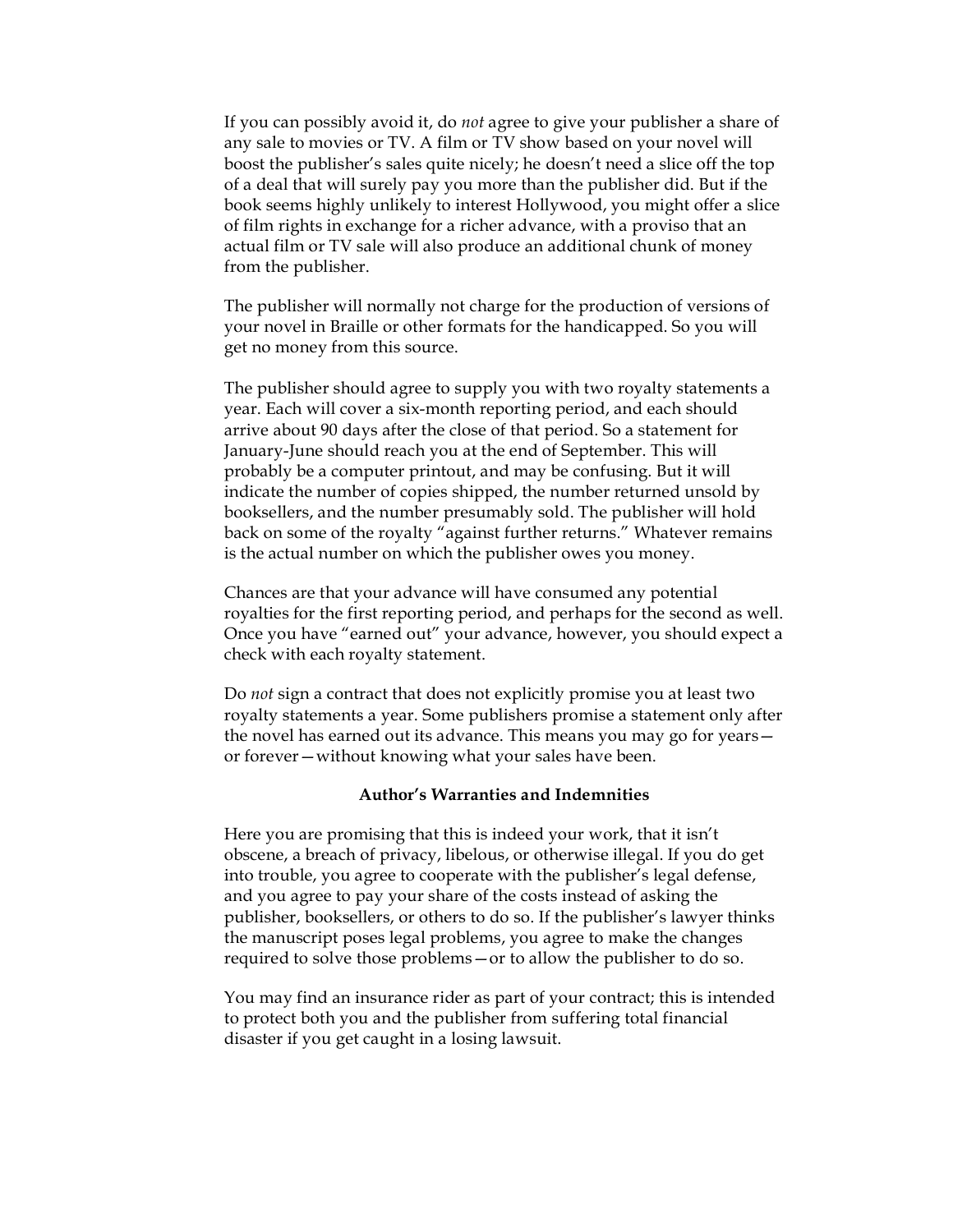If you can possibly avoid it, do *not* agree to give your publisher a share of any sale to movies or TV. A film or TV show based on your novel will boost the publisher's sales quite nicely; he doesn't need a slice off the top of a deal that will surely pay you more than the publisher did. But if the book seems highly unlikely to interest Hollywood, you might offer a slice of film rights in exchange for a richer advance, with a proviso that an actual film or TV sale will also produce an additional chunk of money from the publisher.

The publisher will normally not charge for the production of versions of your novel in Braille or other formats for the handicapped. So you will get no money from this source.

The publisher should agree to supply you with two royalty statements a year. Each will cover a six-month reporting period, and each should arrive about 90 days after the close of that period. So a statement for January-June should reach you at the end of September. This will probably be a computer printout, and may be confusing. But it will indicate the number of copies shipped, the number returned unsold by booksellers, and the number presumably sold. The publisher will hold back on some of the royalty "against further returns." Whatever remains is the actual number on which the publisher owes you money.

Chances are that your advance will have consumed any potential royalties for the first reporting period, and perhaps for the second as well. Once you have "earned out" your advance, however, you should expect a check with each royalty statement.

Do *not* sign a contract that does not explicitly promise you at least two royalty statements a year. Some publishers promise a statement only after the novel has earned out its advance. This means you may go for years or forever—without knowing what your sales have been.

### **Author's Warranties and Indemnities**

Here you are promising that this is indeed your work, that it isn't obscene, a breach of privacy, libelous, or otherwise illegal. If you do get into trouble, you agree to cooperate with the publisher's legal defense, and you agree to pay your share of the costs instead of asking the publisher, booksellers, or others to do so. If the publisher's lawyer thinks the manuscript poses legal problems, you agree to make the changes required to solve those problems—or to allow the publisher to do so.

You may find an insurance rider as part of your contract; this is intended to protect both you and the publisher from suffering total financial disaster if you get caught in a losing lawsuit.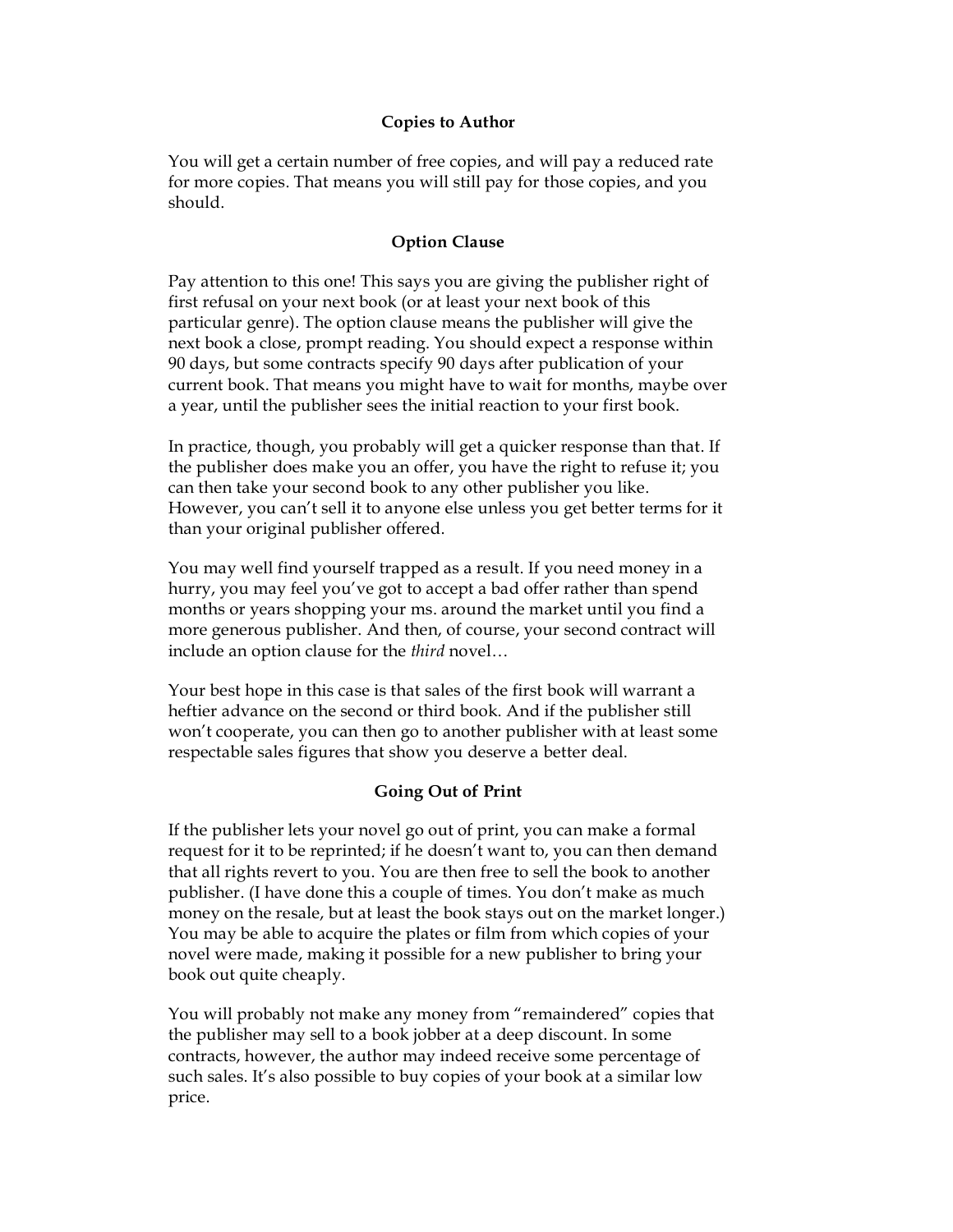## **Copies to Author**

You will get a certain number of free copies, and will pay a reduced rate for more copies. That means you will still pay for those copies, and you should.

# **Option Clause**

Pay attention to this one! This says you are giving the publisher right of first refusal on your next book (or at least your next book of this particular genre). The option clause means the publisher will give the next book a close, prompt reading. You should expect a response within 90 days, but some contracts specify 90 days after publication of your current book. That means you might have to wait for months, maybe over a year, until the publisher sees the initial reaction to your first book.

In practice, though, you probably will get a quicker response than that. If the publisher does make you an offer, you have the right to refuse it; you can then take your second book to any other publisher you like. However, you can't sell it to anyone else unless you get better terms for it than your original publisher offered.

You may well find yourself trapped as a result. If you need money in a hurry, you may feel you've got to accept a bad offer rather than spend months or years shopping your ms. around the market until you find a more generous publisher. And then, of course, your second contract will include an option clause for the *third* novel…

Your best hope in this case is that sales of the first book will warrant a heftier advance on the second or third book. And if the publisher still won't cooperate, you can then go to another publisher with at least some respectable sales figures that show you deserve a better deal.

# **Going Out of Print**

If the publisher lets your novel go out of print, you can make a formal request for it to be reprinted; if he doesn't want to, you can then demand that all rights revert to you. You are then free to sell the book to another publisher. (I have done this a couple of times. You don't make as much money on the resale, but at least the book stays out on the market longer.) You may be able to acquire the plates or film from which copies of your novel were made, making it possible for a new publisher to bring your book out quite cheaply.

You will probably not make any money from "remaindered" copies that the publisher may sell to a book jobber at a deep discount. In some contracts, however, the author may indeed receive some percentage of such sales. It's also possible to buy copies of your book at a similar low price.